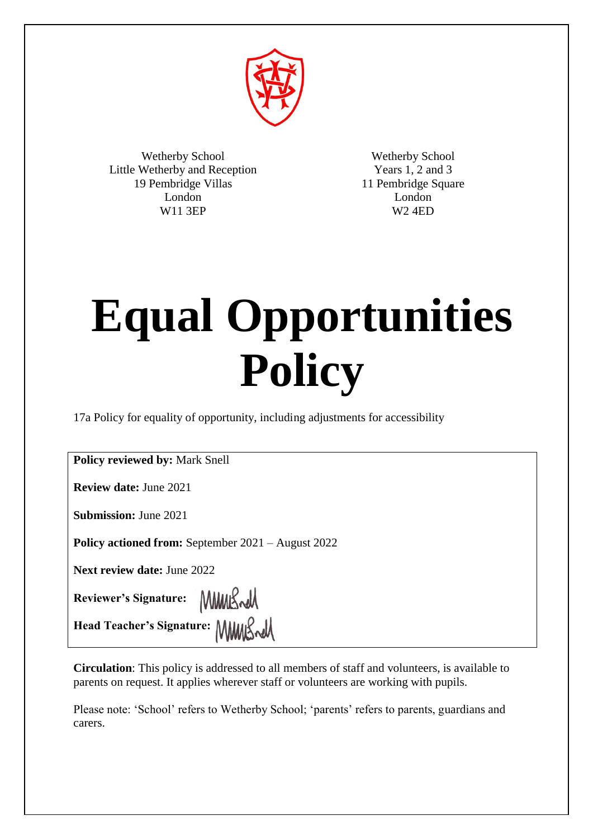

Wetherby School Little Wetherby and Reception 19 Pembridge Villas London W11 3EP

Wetherby School Years 1, 2 and 3 11 Pembridge Square London W2 4ED

# **Equal Opportunities Policy**

17a Policy for equality of opportunity, including adjustments for accessibility

**Policy reviewed by:** Mark Snell

**Review date:** June 2021

**Submission:** June 2021

**Policy actioned from:** September 2021 – August 2022

**Next review date:** June 2022

**Reviewer's Signature:**

**Head Teacher's Signature:**

**Circulation**: This policy is addressed to all members of staff and volunteers, is available to parents on request. It applies wherever staff or volunteers are working with pupils.

Please note: 'School' refers to Wetherby School; 'parents' refers to parents, guardians and carers.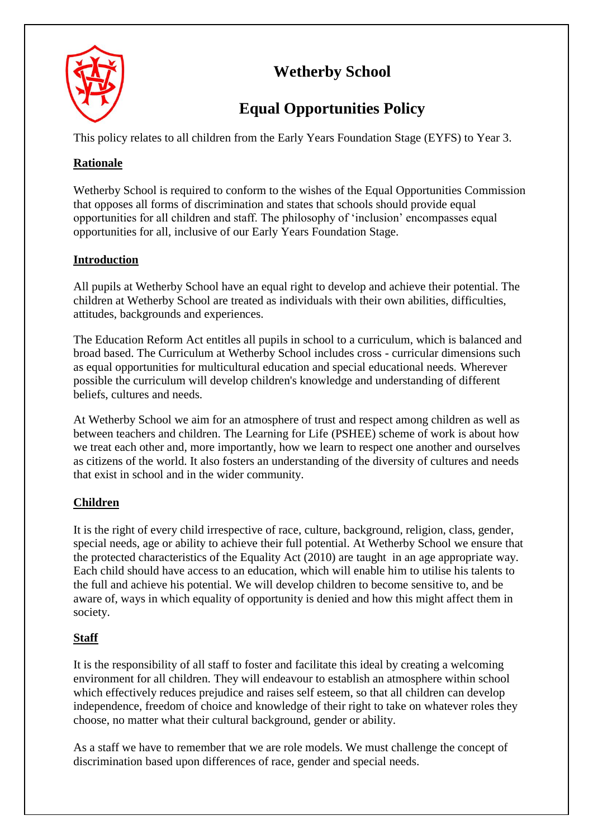

# **Wetherby School**

# **Equal Opportunities Policy**

This policy relates to all children from the Early Years Foundation Stage (EYFS) to Year 3.

# **Rationale**

Wetherby School is required to conform to the wishes of the Equal Opportunities Commission that opposes all forms of discrimination and states that schools should provide equal opportunities for all children and staff. The philosophy of 'inclusion' encompasses equal opportunities for all, inclusive of our Early Years Foundation Stage.

### **Introduction**

All pupils at Wetherby School have an equal right to develop and achieve their potential. The children at Wetherby School are treated as individuals with their own abilities, difficulties, attitudes, backgrounds and experiences.

The Education Reform Act entitles all pupils in school to a curriculum, which is balanced and broad based. The Curriculum at Wetherby School includes cross - curricular dimensions such as equal opportunities for multicultural education and special educational needs. Wherever possible the curriculum will develop children's knowledge and understanding of different beliefs, cultures and needs.

At Wetherby School we aim for an atmosphere of trust and respect among children as well as between teachers and children. The Learning for Life (PSHEE) scheme of work is about how we treat each other and, more importantly, how we learn to respect one another and ourselves as citizens of the world. It also fosters an understanding of the diversity of cultures and needs that exist in school and in the wider community.

# **Children**

It is the right of every child irrespective of race, culture, background, religion, class, gender, special needs, age or ability to achieve their full potential. At Wetherby School we ensure that the protected characteristics of the Equality Act (2010) are taught in an age appropriate way. Each child should have access to an education, which will enable him to utilise his talents to the full and achieve his potential. We will develop children to become sensitive to, and be aware of, ways in which equality of opportunity is denied and how this might affect them in society.

#### **Staff**

It is the responsibility of all staff to foster and facilitate this ideal by creating a welcoming environment for all children. They will endeavour to establish an atmosphere within school which effectively reduces prejudice and raises self esteem, so that all children can develop independence, freedom of choice and knowledge of their right to take on whatever roles they choose, no matter what their cultural background, gender or ability.

As a staff we have to remember that we are role models. We must challenge the concept of discrimination based upon differences of race, gender and special needs.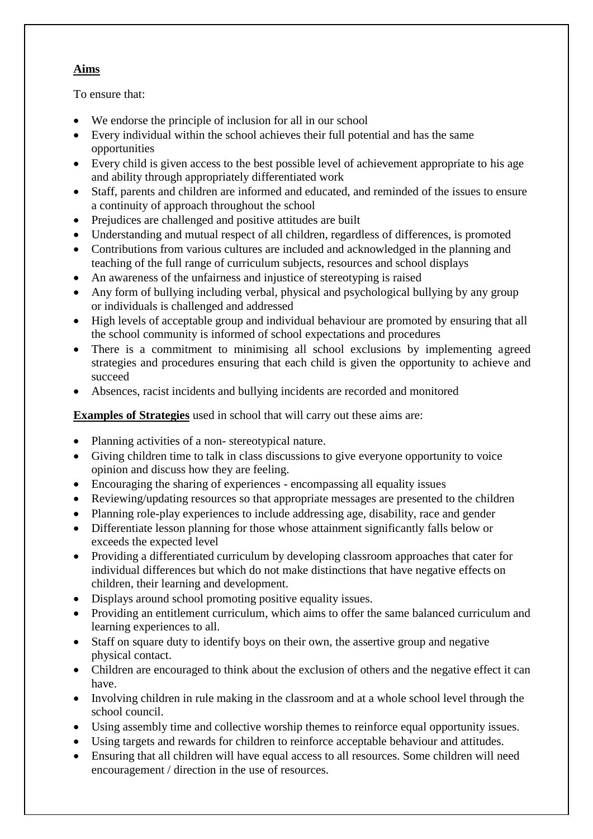## **Aims**

To ensure that:

- We endorse the principle of inclusion for all in our school
- Every individual within the school achieves their full potential and has the same opportunities
- Every child is given access to the best possible level of achievement appropriate to his age and ability through appropriately differentiated work
- Staff, parents and children are informed and educated, and reminded of the issues to ensure a continuity of approach throughout the school
- Prejudices are challenged and positive attitudes are built
- Understanding and mutual respect of all children, regardless of differences, is promoted
- Contributions from various cultures are included and acknowledged in the planning and teaching of the full range of curriculum subjects, resources and school displays
- An awareness of the unfairness and injustice of stereotyping is raised
- Any form of bullying including verbal, physical and psychological bullying by any group or individuals is challenged and addressed
- High levels of acceptable group and individual behaviour are promoted by ensuring that all the school community is informed of school expectations and procedures
- There is a commitment to minimising all school exclusions by implementing agreed strategies and procedures ensuring that each child is given the opportunity to achieve and succeed
- Absences, racist incidents and bullying incidents are recorded and monitored

**Examples of Strategies** used in school that will carry out these aims are:

- Planning activities of a non-stereotypical nature.
- Giving children time to talk in class discussions to give everyone opportunity to voice opinion and discuss how they are feeling.
- Encouraging the sharing of experiences encompassing all equality issues
- Reviewing/updating resources so that appropriate messages are presented to the children
- Planning role-play experiences to include addressing age, disability, race and gender
- Differentiate lesson planning for those whose attainment significantly falls below or exceeds the expected level
- Providing a differentiated curriculum by developing classroom approaches that cater for individual differences but which do not make distinctions that have negative effects on children, their learning and development.
- Displays around school promoting positive equality issues.
- Providing an entitlement curriculum, which aims to offer the same balanced curriculum and learning experiences to all.
- Staff on square duty to identify boys on their own, the assertive group and negative physical contact.
- Children are encouraged to think about the exclusion of others and the negative effect it can have.
- Involving children in rule making in the classroom and at a whole school level through the school council.
- Using assembly time and collective worship themes to reinforce equal opportunity issues.
- Using targets and rewards for children to reinforce acceptable behaviour and attitudes.
- Ensuring that all children will have equal access to all resources. Some children will need encouragement / direction in the use of resources.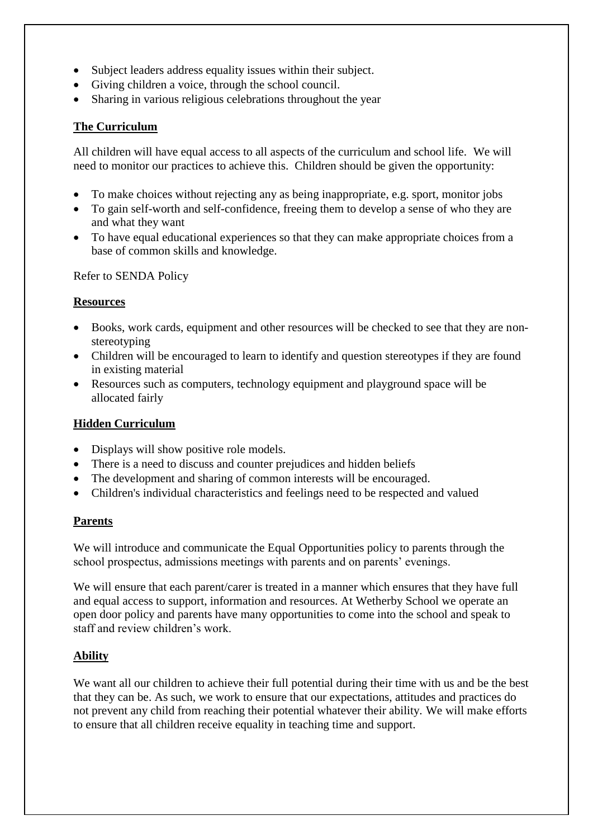- Subject leaders address equality issues within their subject.
- Giving children a voice, through the school council.
- Sharing in various religious celebrations throughout the year

#### **The Curriculum**

All children will have equal access to all aspects of the curriculum and school life. We will need to monitor our practices to achieve this. Children should be given the opportunity:

- To make choices without rejecting any as being inappropriate, e.g. sport, monitor jobs
- To gain self-worth and self-confidence, freeing them to develop a sense of who they are and what they want
- To have equal educational experiences so that they can make appropriate choices from a base of common skills and knowledge.

Refer to SENDA Policy

#### **Resources**

- Books, work cards, equipment and other resources will be checked to see that they are nonstereotyping
- Children will be encouraged to learn to identify and question stereotypes if they are found in existing material
- Resources such as computers, technology equipment and playground space will be allocated fairly

#### **Hidden Curriculum**

- Displays will show positive role models.
- There is a need to discuss and counter prejudices and hidden beliefs
- The development and sharing of common interests will be encouraged.
- Children's individual characteristics and feelings need to be respected and valued

#### **Parents**

We will introduce and communicate the Equal Opportunities policy to parents through the school prospectus, admissions meetings with parents and on parents' evenings.

We will ensure that each parent/carer is treated in a manner which ensures that they have full and equal access to support, information and resources. At Wetherby School we operate an open door policy and parents have many opportunities to come into the school and speak to staff and review children's work.

#### **Ability**

We want all our children to achieve their full potential during their time with us and be the best that they can be. As such, we work to ensure that our expectations, attitudes and practices do not prevent any child from reaching their potential whatever their ability. We will make efforts to ensure that all children receive equality in teaching time and support.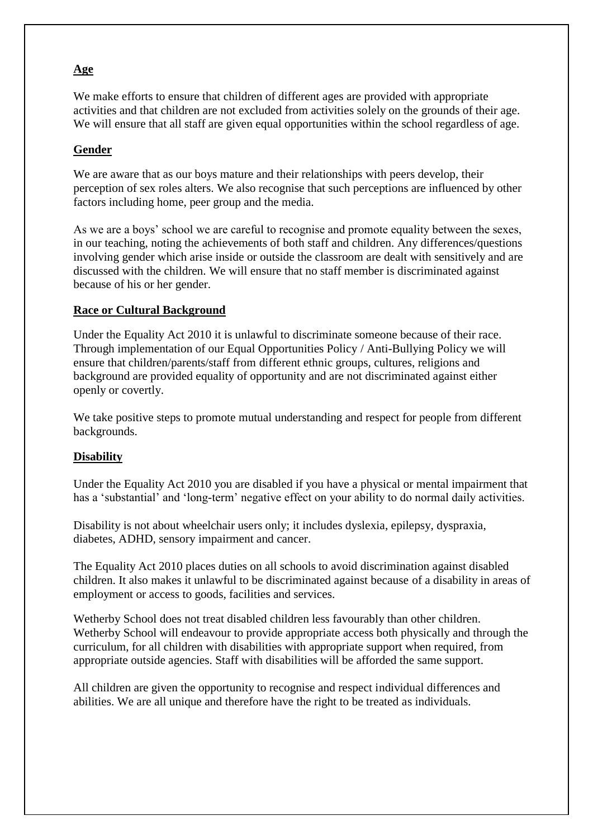#### **Age**

We make efforts to ensure that children of different ages are provided with appropriate activities and that children are not excluded from activities solely on the grounds of their age. We will ensure that all staff are given equal opportunities within the school regardless of age.

#### **Gender**

We are aware that as our boys mature and their relationships with peers develop, their perception of sex roles alters. We also recognise that such perceptions are influenced by other factors including home, peer group and the media.

As we are a boys' school we are careful to recognise and promote equality between the sexes, in our teaching, noting the achievements of both staff and children. Any differences/questions involving gender which arise inside or outside the classroom are dealt with sensitively and are discussed with the children. We will ensure that no staff member is discriminated against because of his or her gender.

#### **Race or Cultural Background**

Under the Equality Act 2010 it is unlawful to discriminate someone because of their race. Through implementation of our Equal Opportunities Policy / Anti-Bullying Policy we will ensure that children/parents/staff from different ethnic groups, cultures, religions and background are provided equality of opportunity and are not discriminated against either openly or covertly.

We take positive steps to promote mutual understanding and respect for people from different backgrounds.

#### **Disability**

Under the Equality Act 2010 you are disabled if you have a physical or mental impairment that has a 'substantial' and 'long-term' negative effect on your ability to do normal daily activities.

Disability is not about wheelchair users only; it includes dyslexia, epilepsy, dyspraxia, diabetes, ADHD, sensory impairment and cancer.

The Equality Act 2010 places duties on all schools to avoid discrimination against disabled children. It also makes it unlawful to be discriminated against because of a disability in areas of employment or access to goods, facilities and services.

Wetherby School does not treat disabled children less favourably than other children. Wetherby School will endeavour to provide appropriate access both physically and through the curriculum, for all children with disabilities with appropriate support when required, from appropriate outside agencies. Staff with disabilities will be afforded the same support.

All children are given the opportunity to recognise and respect individual differences and abilities. We are all unique and therefore have the right to be treated as individuals.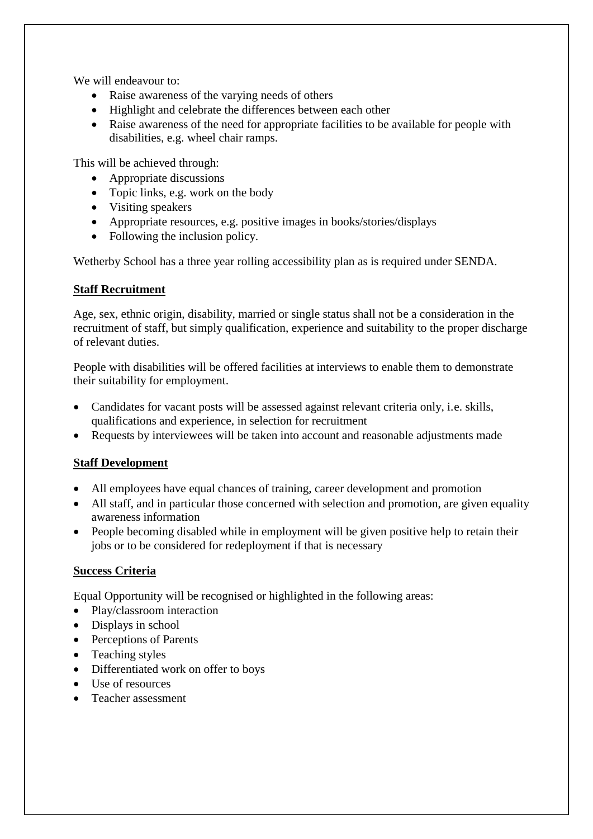We will endeavour to:

- Raise awareness of the varying needs of others
- Highlight and celebrate the differences between each other
- Raise awareness of the need for appropriate facilities to be available for people with disabilities, e.g. wheel chair ramps.

This will be achieved through:

- Appropriate discussions
- Topic links, e.g. work on the body
- Visiting speakers
- Appropriate resources, e.g. positive images in books/stories/displays
- Following the inclusion policy.

Wetherby School has a three year rolling accessibility plan as is required under SENDA.

#### **Staff Recruitment**

Age, sex, ethnic origin, disability, married or single status shall not be a consideration in the recruitment of staff, but simply qualification, experience and suitability to the proper discharge of relevant duties.

People with disabilities will be offered facilities at interviews to enable them to demonstrate their suitability for employment.

- Candidates for vacant posts will be assessed against relevant criteria only, i.e. skills, qualifications and experience, in selection for recruitment
- Requests by interviewees will be taken into account and reasonable adjustments made

#### **Staff Development**

- All employees have equal chances of training, career development and promotion
- All staff, and in particular those concerned with selection and promotion, are given equality awareness information
- People becoming disabled while in employment will be given positive help to retain their jobs or to be considered for redeployment if that is necessary

#### **Success Criteria**

Equal Opportunity will be recognised or highlighted in the following areas:

- Play/classroom interaction
- Displays in school
- Perceptions of Parents
- Teaching styles
- Differentiated work on offer to boys
- $\bullet$  Use of resources
- Teacher assessment